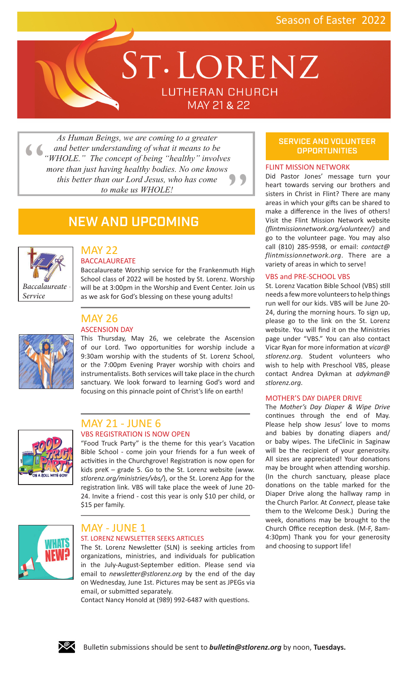ST. LORENZ **LUTHERAN CHURCH** MAY 21 & 22

and better understanding of what it means to be<br>"WHOLE." The concept of being "healthy" involvemore than just having healthy bodies. No one know<br>this better than our Lord Jesus, who has come "<br>"<br>" *As Human Beings, we are coming to a greater "WHOLE." The concept of being "healthy" involves more than just having healthy bodies. No one knows this better than our Lord Jesus, who has come to make us WHOLE!*

# NEW AND UPCOMING



## MAY 22 BACCALAUREATE

Baccalaureate Worship service for the Frankenmuth High School class of 2022 will be hosted by St. Lorenz. Worship will be at 3:00pm in the Worship and Event Center. Join us as we ask for God's blessing on these young adults!



# MAY 26 ASCENSION DAY

This Thursday, May 26, we celebrate the Ascension of our Lord. Two opportunities for worship include a 9:30am worship with the students of St. Lorenz School, or the 7:00pm Evening Prayer worship with choirs and instrumentalists. Both services will take place in the church sanctuary. We look forward to learning God's word and focusing on this pinnacle point of Christ's life on earth!



# MAY 21 - JUNE 6 VBS REGISTRATION IS NOW OPEN

"Food Truck Party" is the theme for this year's Vacation Bible School - come join your friends for a fun week of activities in the Churchgrove! Registration is now open for kids preK – grade 5. Go to the St. Lorenz website (*[www.](http://www.stlorenz.org/ministries/vbs/) [stlorenz.org/ministries/vbs/](http://www.stlorenz.org/ministries/vbs/)*), or the St. Lorenz App for the registration link. VBS will take place the week of June 20- 24. Invite a friend - cost this year is only \$10 per child, or \$15 per family.



# MAY - JUNE 1 ST. LORENZ NEWSLETTER SEEKS ARTICLES

The St. Lorenz Newsletter (SLN) is seeking articles from organizations, ministries, and individuals for publication in the July-August-September edition. Please send via email to *[newsletter@stlorenz.org](mailto:newsletter%40stlorenz.org?subject=JAS%202022%20SLN)* by the end of the day on Wednesday, June 1st. Pictures may be sent as JPEGs via email, or submitted separately.

Contact Nancy Honold at (989) 992-6487 with questions.

# SERVICE AND VOLUNTEER **OPPORTUNITIES**

# FLINT MISSION NETWORK

Did Pastor Jones' message turn your heart towards serving our brothers and sisters in Christ in Flint? There are many areas in which your gifts can be shared to make a difference in the lives of others! Visit the Flint Mission Network website *[\(flintmissionnetwork.org/volunteer/\)](https://flintmissionnetwork.org/volunteer/)* and go to the volunteer page. You may also call (810) 285-9598, or email: *[contact@](mailto:contact%40flintmissionnewwork.org?subject=Volunteer%20opportunities) [flintmissionnetwork.org](mailto:contact%40flintmissionnewwork.org?subject=Volunteer%20opportunities)*. There are a variety of areas in which to serve!

# VBS and PRE-SCHOOL VBS

St. Lorenz Vacation Bible School (VBS) still needs a few more volunteers to help things run well for our kids. VBS will be June 20- 24, during the morning hours. To sign up, please go to the link on the St. Lorenz website. You will find it on the Ministries page under "VBS." You can also contact Vicar Ryan for more information at *[vicar@](mailto:vicar%40stlorenz.org?subject=VBS%20Helper) [stlorenz.org](mailto:vicar%40stlorenz.org?subject=VBS%20Helper)*. Student volunteers who wish to help with Preschool VBS, please contact Andrea Dykman at *[adykman@](mailto:adykman%40stlorenz.org?subject=) [stlorenz.org](mailto:adykman%40stlorenz.org?subject=)*.

#### MOTHER'S DAY DIAPER DRIVE

The *Mother's Day Diaper & Wipe Drive* continues through the end of May. Please help show Jesus' love to moms and babies by donating diapers and/ or baby wipes. The LifeClinic in Saginaw will be the recipient of your generosity. All sizes are appreciated! Your donations may be brought when attending worship. (In the church sanctuary, please place donations on the table marked for the Diaper Drive along the hallway ramp in the Church Parlor. At *Connect*, please take them to the Welcome Desk.) During the week, donations may be brought to the Church Office reception desk. (M-F, 8am-4:30pm) Thank you for your generosity and choosing to support life!